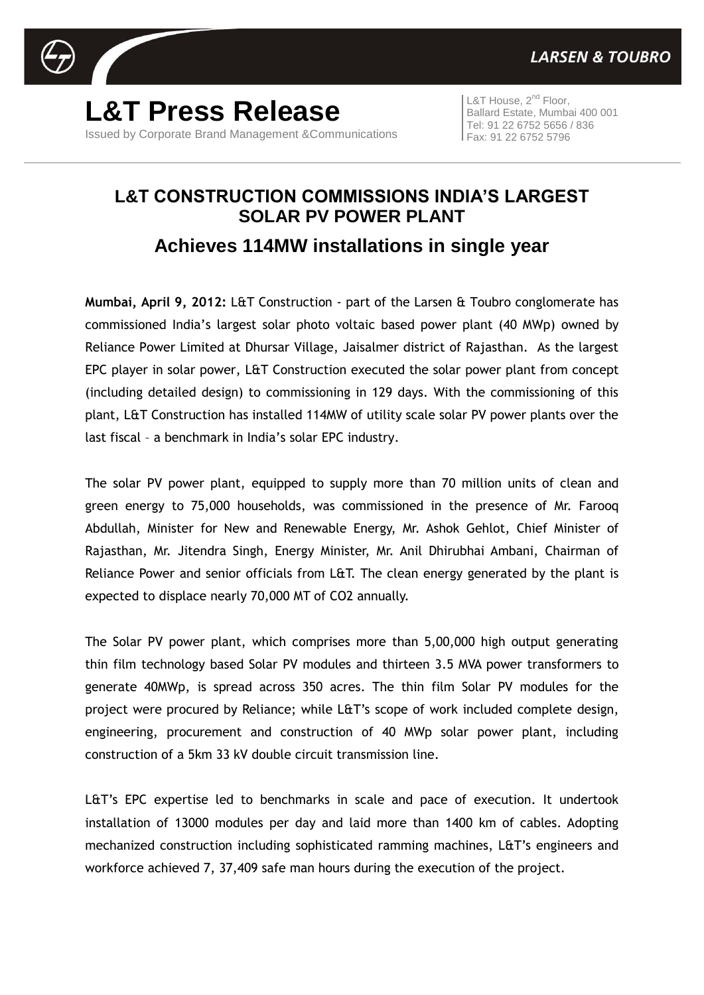

**L&T Press Release** Issued by Corporate Brand Management &Communications

L&T House,  $2^{nd}$  Floor, Ballard Estate, Mumbai 400 001 Tel: 91 22 6752 5656 / 836 Fax: 91 22 6752 5796

## **L&T CONSTRUCTION COMMISSIONS INDIA'S LARGEST SOLAR PV POWER PLANT Achieves 114MW installations in single year**

**Mumbai, April 9, 2012:** L&T Construction - part of the Larsen & Toubro conglomerate has commissioned India's largest solar photo voltaic based power plant (40 MWp) owned by Reliance Power Limited at Dhursar Village, Jaisalmer district of Rajasthan. As the largest EPC player in solar power, L&T Construction executed the solar power plant from concept (including detailed design) to commissioning in 129 days. With the commissioning of this plant, L&T Construction has installed 114MW of utility scale solar PV power plants over the last fiscal – a benchmark in India's solar EPC industry.

The solar PV power plant, equipped to supply more than 70 million units of clean and green energy to 75,000 households, was commissioned in the presence of Mr. Farooq Abdullah, Minister for New and Renewable Energy, Mr. Ashok Gehlot, Chief Minister of Rajasthan, Mr. Jitendra Singh, Energy Minister, Mr. Anil Dhirubhai Ambani, Chairman of Reliance Power and senior officials from L&T. The clean energy generated by the plant is expected to displace nearly 70,000 MT of CO2 annually.

The Solar PV power plant, which comprises more than 5,00,000 high output generating thin film technology based Solar PV modules and thirteen 3.5 MVA power transformers to generate 40MWp, is spread across 350 acres. The thin film Solar PV modules for the project were procured by Reliance; while L&T's scope of work included complete design, engineering, procurement and construction of 40 MWp solar power plant, including construction of a 5km 33 kV double circuit transmission line.

L&T's EPC expertise led to benchmarks in scale and pace of execution. It undertook installation of 13000 modules per day and laid more than 1400 km of cables. Adopting mechanized construction including sophisticated ramming machines, L&T's engineers and workforce achieved 7, 37,409 safe man hours during the execution of the project.